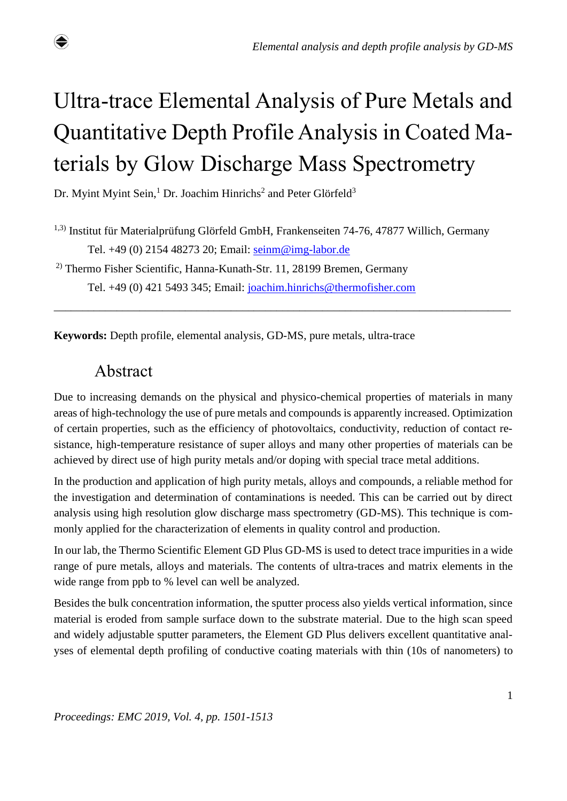# Ultra-trace Elemental Analysis of Pure Metals and Quantitative Depth Profile Analysis in Coated Materials by Glow Discharge Mass Spectrometry

Dr. Myint Myint Sein,<sup>1</sup> Dr. Joachim Hinrichs<sup>2</sup> and Peter Glörfeld<sup>3</sup>

1,3) Institut für Materialprüfung Glörfeld GmbH, Frankenseiten 74-76, 47877 Willich, Germany Tel. +49 (0) 2154 48273 20; Email: [seinm@img-labor.de](mailto:seinm@img-labor.de)

\_\_\_\_\_\_\_\_\_\_\_\_\_\_\_\_\_\_\_\_\_\_\_\_\_\_\_\_\_\_\_\_\_\_\_\_\_\_\_\_\_\_\_\_\_\_\_\_\_\_\_\_\_\_\_\_\_\_\_\_\_\_\_\_\_\_\_\_\_\_\_\_\_\_\_\_\_\_\_\_

2) Thermo Fisher Scientific, Hanna-Kunath-Str. 11, 28199 Bremen, Germany Tel. +49 (0) 421 5493 345; Email: [joachim.hinrichs@thermofisher.com](mailto:joachim.hinrichs@thermofisher.com)

**Keywords:** Depth profile, elemental analysis, GD-MS, pure metals, ultra-trace

# Abstract

♦

Due to increasing demands on the physical and physico-chemical properties of materials in many areas of high-technology the use of pure metals and compounds is apparently increased. Optimization of certain properties, such as the efficiency of photovoltaics, conductivity, reduction of contact resistance, high-temperature resistance of super alloys and many other properties of materials can be achieved by direct use of high purity metals and/or doping with special trace metal additions.

In the production and application of high purity metals, alloys and compounds, a reliable method for the investigation and determination of contaminations is needed. This can be carried out by direct analysis using high resolution glow discharge mass spectrometry (GD-MS). This technique is commonly applied for the characterization of elements in quality control and production.

In our lab, the Thermo Scientific Element GD Plus GD-MS is used to detect trace impurities in a wide range of pure metals, alloys and materials. The contents of ultra-traces and matrix elements in the wide range from ppb to % level can well be analyzed.

Besides the bulk concentration information, the sputter process also yields vertical information, since material is eroded from sample surface down to the substrate material. Due to the high scan speed and widely adjustable sputter parameters, the Element GD Plus delivers excellent quantitative analyses of elemental depth profiling of conductive coating materials with thin (10s of nanometers) to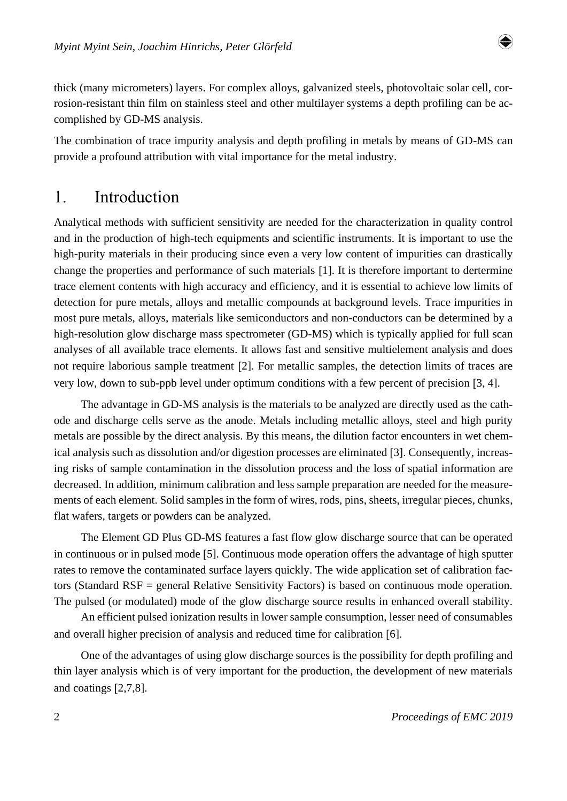

thick (many micrometers) layers. For complex alloys, galvanized steels, photovoltaic solar cell, corrosion-resistant thin film on stainless steel and other multilayer systems a depth profiling can be accomplished by GD-MS analysis.

The combination of trace impurity analysis and depth profiling in metals by means of GD-MS can provide a profound attribution with vital importance for the metal industry.

## 1. Introduction

Analytical methods with sufficient sensitivity are needed for the characterization in quality control and in the production of high-tech equipments and scientific instruments. It is important to use the high-purity materials in their producing since even a very low content of impurities can drastically change the properties and performance of such materials 1]. It is therefore important to dertermine trace element contents with high accuracy and efficiency, and it is essential to achieve low limits of detection for pure metals, alloys and metallic compounds at background levels. Trace impurities in most pure metals, alloys, materials like semiconductors and non-conductors can be determined by a high-resolution glow discharge mass spectrometer (GD-MS) which is typically applied for full scan analyses of all available trace elements. It allows fast and sensitive multielement analysis and does not require laborious sample treatment [2]. For metallic samples, the detection limits of traces are very low, down to sub-ppb level under optimum conditions with a few percent of precision [3, 4].

The advantage in GD-MS analysis is the materials to be analyzed are directly used as the cathode and discharge cells serve as the anode. Metals including metallic alloys, steel and high purity metals are possible by the direct analysis. By this means, the dilution factor encounters in wet chemical analysis such as dissolution and/or digestion processes are eliminated [3]. Consequently, increasing risks of sample contamination in the dissolution process and the loss of spatial information are decreased. In addition, minimum calibration and less sample preparation are needed for the measurements of each element. Solid samples in the form of wires, rods, pins, sheets, irregular pieces, chunks, flat wafers, targets or powders can be analyzed.

The Element GD Plus GD-MS features a fast flow glow discharge source that can be operated in continuous or in pulsed mode 5]. Continuous mode operation offers the advantage of high sputter rates to remove the contaminated surface layers quickly. The wide application set of calibration factors (Standard RSF = general Relative Sensitivity Factors) is based on continuous mode operation. The pulsed (or modulated) mode of the glow discharge source results in enhanced overall stability.

An efficient pulsed ionization results in lower sample consumption, lesser need of consumables and overall higher precision of analysis and reduced time for calibration [6].

One of the advantages of using glow discharge sources is the possibility for depth profiling and thin layer analysis which is of very important for the production, the development of new materials and coatings  $[2,7,8]$ .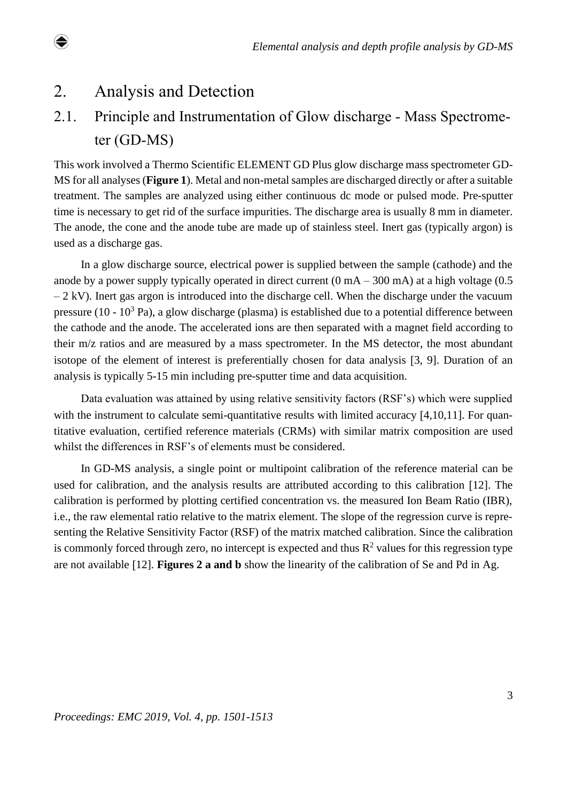# 2. Analysis and Detection

 $\bigcirc$ 

# 2.1. Principle and Instrumentation of Glow discharge - Mass Spectrome ter (GD-MS)

This work involved a Thermo Scientific ELEMENT GD Plus glow discharge mass spectrometer GD-MS for all analyses (**Figure 1**). Metal and non-metal samples are discharged directly or after a suitable treatment. The samples are analyzed using either continuous dc mode or pulsed mode. Pre-sputter time is necessary to get rid of the surface impurities. The discharge area is usually 8 mm in diameter. The anode, the cone and the anode tube are made up of stainless steel. Inert gas (typically argon) is used as a discharge gas.

In a glow discharge source, electrical power is supplied between the sample (cathode) and the anode by a power supply typically operated in direct current  $(0 \text{ mA} - 300 \text{ mA})$  at a high voltage  $(0.5 \text{ A})$  $-2$  kV). Inert gas argon is introduced into the discharge cell. When the discharge under the vacuum pressure (10 -  $10<sup>3</sup>$  Pa), a glow discharge (plasma) is established due to a potential difference between the cathode and the anode. The accelerated ions are then separated with a magnet field according to their m/z ratios and are measured by a mass spectrometer. In the MS detector, the most abundant isotope of the element of interest is preferentially chosen for data analysis [3, 9]. Duration of an analysis is typically 5-15 min including pre-sputter time and data acquisition.

Data evaluation was attained by using relative sensitivity factors (RSF's) which were supplied with the instrument to calculate semi-quantitative results with limited accuracy [4,10,11]. For quantitative evaluation, certified reference materials (CRMs) with similar matrix composition are used whilst the differences in RSF's of elements must be considered.

In GD-MS analysis, a single point or multipoint calibration of the reference material can be used for calibration, and the analysis results are attributed according to this calibration 12]. The calibration is performed by plotting certified concentration vs. the measured Ion Beam Ratio (IBR), i.e., the raw elemental ratio relative to the matrix element. The slope of the regression curve is representing the Relative Sensitivity Factor (RSF) of the matrix matched calibration. Since the calibration is commonly forced through zero, no intercept is expected and thus  $R<sup>2</sup>$  values for this regression type are not available 12]. **Figures 2 a and b** show the linearity of the calibration of Se and Pd in Ag.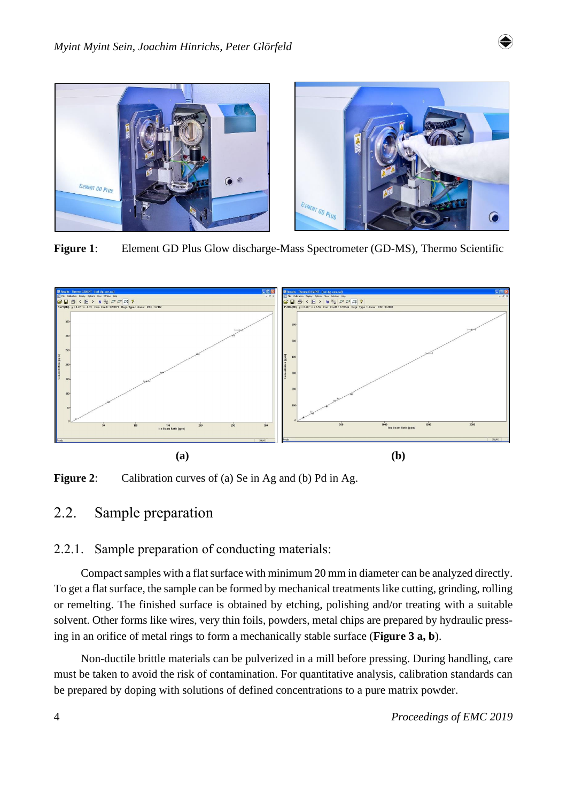

**Figure 1**: Element GD Plus Glow discharge-Mass Spectrometer (GD-MS), Thermo Scientific



**Figure 2:** Calibration curves of (a) Se in Ag and (b) Pd in Ag.

## 2.2. Sample preparation

#### 2.2.1. Sample preparation of conducting materials:

Compact samples with a flat surface with minimum 20 mm in diameter can be analyzed directly. To get a flat surface, the sample can be formed by mechanical treatments like cutting, grinding, rolling or remelting. The finished surface is obtained by etching, polishing and/or treating with a suitable solvent. Other forms like wires, very thin foils, powders, metal chips are prepared by hydraulic pressing in an orifice of metal rings to form a mechanically stable surface (**Figure 3 a, b**).

Non-ductile brittle materials can be pulverized in a mill before pressing. During handling, care must be taken to avoid the risk of contamination. For quantitative analysis, calibration standards can be prepared by doping with solutions of defined concentrations to a pure matrix powder.

♦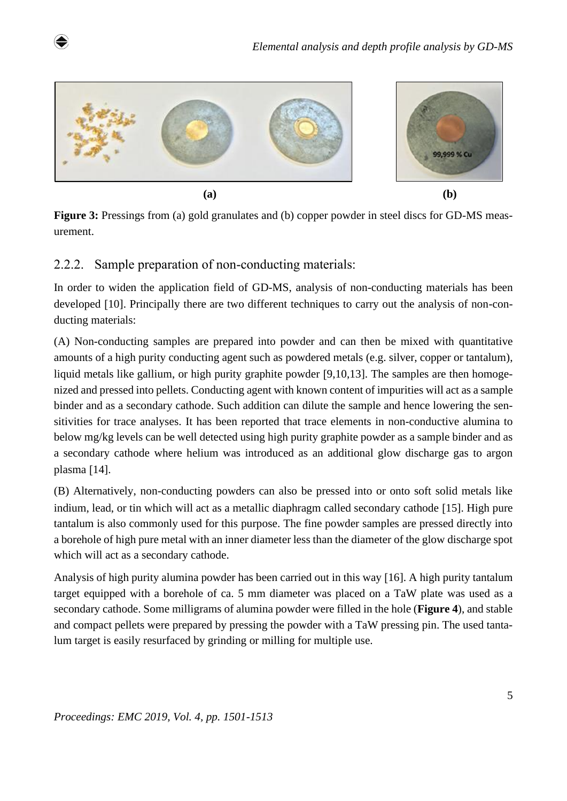

**Figure 3:** Pressings from (a) gold granulates and (b) copper powder in steel discs for GD-MS measurement.

### 2.2.2. Sample preparation of non-conducting materials:

♦

In order to widen the application field of GD-MS, analysis of non-conducting materials has been developed [10]. Principally there are two different techniques to carry out the analysis of non-conducting materials:

(A) Non-conducting samples are prepared into powder and can then be mixed with quantitative amounts of a high purity conducting agent such as powdered metals (e.g. silver, copper or tantalum), liquid metals like gallium, or high purity graphite powder [9,10,13]. The samples are then homogenized and pressed into pellets. Conducting agent with known content of impurities will act as a sample binder and as a secondary cathode. Such addition can dilute the sample and hence lowering the sensitivities for trace analyses. It has been reported that trace elements in non-conductive alumina to below mg/kg levels can be well detected using high purity graphite powder as a sample binder and as a secondary cathode where helium was introduced as an additional glow discharge gas to argon plasma [14].

(B) Alternatively, non-conducting powders can also be pressed into or onto soft solid metals like indium, lead, or tin which will act as a metallic diaphragm called secondary cathode [15]. High pure tantalum is also commonly used for this purpose. The fine powder samples are pressed directly into a borehole of high pure metal with an inner diameter less than the diameter of the glow discharge spot which will act as a secondary cathode.

Analysis of high purity alumina powder has been carried out in this way [16]. A high purity tantalum target equipped with a borehole of ca. 5 mm diameter was placed on a TaW plate was used as a secondary cathode. Some milligrams of alumina powder were filled in the hole (**Figure 4**), and stable and compact pellets were prepared by pressing the powder with a TaW pressing pin. The used tantalum target is easily resurfaced by grinding or milling for multiple use.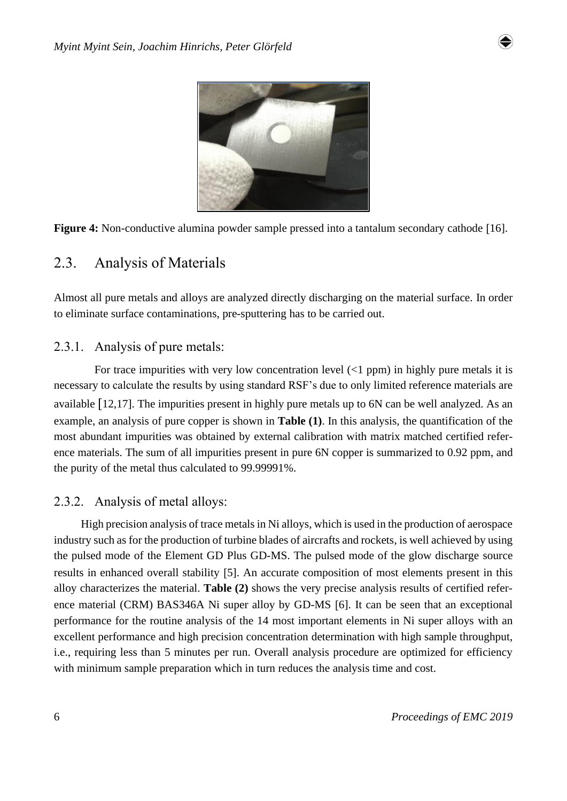





## 2.3. Analysis of Materials

Almost all pure metals and alloys are analyzed directly discharging on the material surface. In order to eliminate surface contaminations, pre-sputtering has to be carried out.

#### 2.3.1. Analysis of pure metals:

For trace impurities with very low concentration level  $(1$  ppm) in highly pure metals it is necessary to calculate the results by using standard RSF's due to only limited reference materials are available 12,17]. The impurities present in highly pure metals up to 6N can be well analyzed. As an example, an analysis of pure copper is shown in **Table (1)**. In this analysis, the quantification of the most abundant impurities was obtained by external calibration with matrix matched certified reference materials. The sum of all impurities present in pure 6N copper is summarized to 0.92 ppm, and the purity of the metal thus calculated to 99.99991%.

#### 2.3.2. Analysis of metal alloys:

High precision analysis of trace metals in Ni alloys, which is used in the production of aerospace industry such as for the production of turbine blades of aircrafts and rockets, is well achieved by using the pulsed mode of the Element GD Plus GD-MS. The pulsed mode of the glow discharge source results in enhanced overall stability [5]. An accurate composition of most elements present in this alloy characterizes the material. **Table (2)** shows the very precise analysis results of certified reference material (CRM) BAS346A Ni super alloy by GD-MS [6]. It can be seen that an exceptional performance for the routine analysis of the 14 most important elements in Ni super alloys with an excellent performance and high precision concentration determination with high sample throughput, i.e., requiring less than 5 minutes per run. Overall analysis procedure are optimized for efficiency with minimum sample preparation which in turn reduces the analysis time and cost.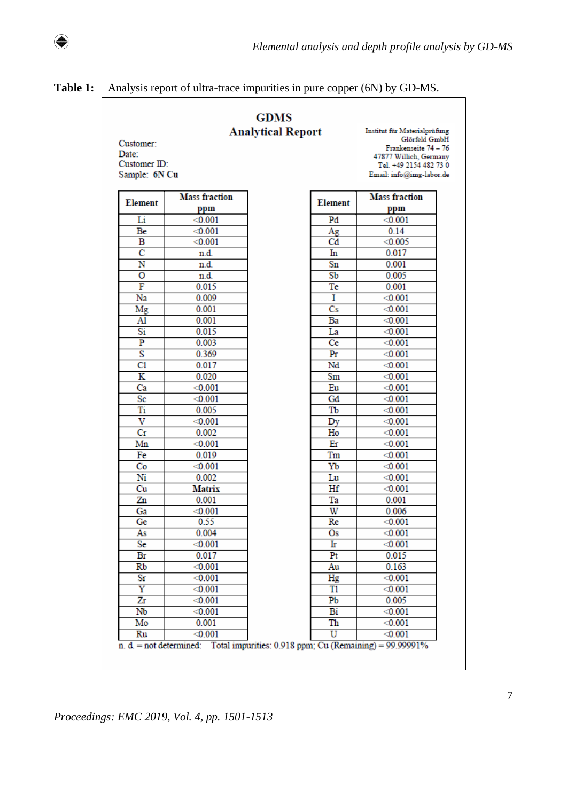**Table 1:** Analysis report of ultra-trace impurities in pure copper (6N) by GD-MS.

 $\bigcirc \hspace{-3.5pt} \bigcirc$ 

| Customer:<br>Date:<br>Customer ID:<br>Sample: 6N Cu | Institut für Materialprüfung<br>Glörfeld GmbH<br>Frankenseite 74 - 76<br>47877 Willich, Germany<br>Tel. +49 2154 482 73 0<br>Email: info@img-labor.de |                        |                             |
|-----------------------------------------------------|-------------------------------------------------------------------------------------------------------------------------------------------------------|------------------------|-----------------------------|
| <b>Element</b>                                      | <b>Mass fraction</b><br>ppm                                                                                                                           | <b>Element</b>         | <b>Mass fraction</b><br>ppm |
| Li                                                  | < 0.001                                                                                                                                               | Pd                     | < 0.001                     |
| Be                                                  | < 0.001                                                                                                                                               | Ag                     | 0.14                        |
| B                                                   | < 0.001                                                                                                                                               | Cd                     | < 0.005                     |
| $\overline{\rm c}$                                  | n.d.                                                                                                                                                  | In                     | 0.017                       |
| Ñ                                                   | n.d.                                                                                                                                                  | Sn                     | 0.001                       |
| $\overline{o}$                                      | n.d.                                                                                                                                                  | S <sub>b</sub>         | 0.005                       |
| F                                                   | 0.015                                                                                                                                                 | Te                     | 0.001                       |
| Na                                                  | 0.009                                                                                                                                                 | I                      | < 0.001                     |
| Mg                                                  | 0.001                                                                                                                                                 | $\overline{\text{Cs}}$ | < 0.001                     |
| A1                                                  | 0.001                                                                                                                                                 | Ba                     | < 0.001                     |
| Si                                                  | 0.015                                                                                                                                                 | La                     | < 0.001                     |
| $\overline{\mathbf{P}}$                             | 0.003                                                                                                                                                 | Ce                     | < 0.001                     |
| S                                                   | 0.369                                                                                                                                                 | Pr                     | < 0.001                     |
| C1                                                  | 0.017                                                                                                                                                 | Nd                     | < 0.001                     |
| $\overline{\mathbf{K}}$                             | 0.020                                                                                                                                                 | Sm                     | < 0.001                     |
| Ca                                                  | < 0.001                                                                                                                                               | Eu                     | < 0.001                     |
| Sc                                                  | < 0.001                                                                                                                                               | Gd                     | < 0.001                     |
| Ti                                                  | 0.005                                                                                                                                                 | Tb                     | < 0.001                     |
| v                                                   | < 0.001                                                                                                                                               | Dy                     | < 0.001                     |
| Сr                                                  | 0.002                                                                                                                                                 | Ho                     | < 0.001                     |
| Mn                                                  | < 0.001                                                                                                                                               | Er                     | < 0.001                     |
| Fe                                                  | 0.019                                                                                                                                                 | Tm                     | < 0.001                     |
| Co                                                  | < 0.001                                                                                                                                               | Yb                     | < 0.001                     |
| Ni                                                  | 0.002                                                                                                                                                 | Lu                     | < 0.001                     |
| Cu                                                  | Matrix                                                                                                                                                | Hf                     | < 0.001                     |
| Zn                                                  | 0.001                                                                                                                                                 | Ta                     | 0.001                       |
| Ga                                                  | < 0.001                                                                                                                                               | W                      | 0.006                       |
| Ge                                                  | 0.55                                                                                                                                                  | Re                     | < 0.001                     |
| As                                                  | 0.004                                                                                                                                                 | Os                     | < 0.001                     |
| Se                                                  | < 0.001                                                                                                                                               | Ir                     | < 0.001                     |
| Br                                                  | 0.017                                                                                                                                                 | Pr                     | 0.015                       |
| Rb                                                  | < 0.001                                                                                                                                               | Au                     | 0.163                       |
| Sг                                                  | < 0.001                                                                                                                                               | Hg                     | < 0.001                     |
| $\overline{\text{Y}}$                               | < 0.001                                                                                                                                               | T1                     | < 0.001                     |
| Zr                                                  | < 0.001                                                                                                                                               | Pb                     | 0.005                       |
| Nb                                                  | < 0.001                                                                                                                                               | Bi                     | < 0.001                     |
| Mo<br>Ru                                            | 0.001<br>< 0.001                                                                                                                                      | Th<br>U                | < 0.001<br>< 0.001          |

*Proceedings: EMC 2019, Vol. 4, pp. 1501-1513*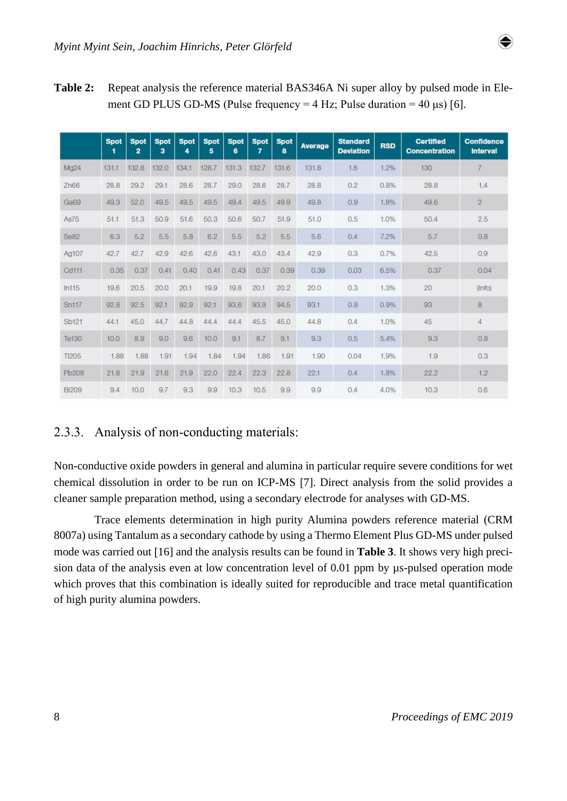

**Table 2:** Repeat analysis the reference material BAS346A Ni super alloy by pulsed mode in Element GD PLUS GD-MS (Pulse frequency =  $4$  Hz; Pulse duration =  $40 \,\mu s$ ) [6].

|              | <b>Spot</b><br>1 | <b>Spot</b><br>$\overline{2}$ | <b>Spot</b><br>з | <b>Spot</b><br>4 | <b>Spot</b><br>5 | <b>Spot</b><br>6 | <b>Spot</b><br>7 | <b>Spot</b><br>8 | Average | <b>Standard</b><br><b>Deviation</b> | <b>RSD</b> | <b>Certified</b><br><b>Concentration</b> | <b>Confidence</b><br><b>Interval</b> |
|--------------|------------------|-------------------------------|------------------|------------------|------------------|------------------|------------------|------------------|---------|-------------------------------------|------------|------------------------------------------|--------------------------------------|
| Mg24         | 131.1            | 132.8                         | 132.0            | 134.1            | 128.7            | 131.3            | 132.7            | 131.6            | 131.8   | 1.6                                 | 1.2%       | 130                                      | 7                                    |
| Zn66         | 28.8             | 29.2                          | 29.1             | 28.6             | 28.7             | 29.0             | 28.6             | 28.7             | 28.8    | 0.2                                 | 0.8%       | 28.8                                     | 1.4                                  |
| Ga69         | 49.3             | 52.0                          | 49.5             | 49.5             | 49.5             | 49.4             | 49.5             | 49.9             | 49.8    | 0.9                                 | 1.8%       | 49.6                                     | $\overline{2}$                       |
| As75         | 51.1             | 51.3                          | 50.9             | 51.6             | 50.3             | 50.6             | 50.7             | 51.9             | 51.0    | 0.5                                 | 1.0%       | 50.4                                     | 2.5                                  |
| Se82         | 6.3              | 5.2                           | 5.5              | 5.8              | 6.2              | 5.5              | 5.2              | 5.5              | 5.6     | 0.4                                 | 7.2%       | 5.7                                      | 0.8                                  |
| Ag107        | 42.7             | 42.7                          | 42.9             | 42.6             | 42.6             | 43.1             | 43.0             | 43.4             | 42.9    | 0.3                                 | 0.7%       | 42.5                                     | 0.9                                  |
| Cd111        | 0.35             | 0.37                          | 0.41             | 0.40             | 0.41             | 0.43             | 0.37             | 0.39             | 0.39    | 0.03                                | 6.5%       | 0.37                                     | 0.04                                 |
| In115        | 19.6             | 20.5                          | 20.0             | 20.1             | 19.9             | 19.8             | 20.1             | 20.2             | 20.0    | 0.3                                 | 1.3%       | 20                                       | $($ Info)                            |
| <b>Sn117</b> | 92.8             | 92.5                          | 92.1             | 92.9             | 92.1             | 93.6             | 93.9             | 94.5             | 93.1    | 0.9                                 | 0.9%       | 93                                       | B                                    |
| Sb121        | 44.1             | 45.0                          | 44.7             | 44.8             | 44.4             | 44.4             | 45.5             | 45.0             | 44.8    | 0.4                                 | 1.0%       | 45                                       | 4                                    |
| Te130        | 10.0             | 8.9                           | 9.0              | 9.6              | 10.0             | 9.1              | 8.7              | 9.1              | 9.3     | 0.5                                 | 5.4%       | 9.3                                      | 0.8                                  |
| T1205        | 1.88             | 1.88                          | 1.91             | 1.94             | 1.84             | 1.94             | 1.86             | 1.91             | 1.90    | 0.04                                | 1.9%       | 1.9                                      | 0.3                                  |
| Pb208        | 21.8             | 21.9                          | 21.6             | 21.9             | 22.0             | 22.4             | 22.3             | 22.8             | 22.1    | 0.4                                 | 1.8%       | 22.2                                     | 1.2                                  |
| <b>Bi209</b> | 9.4              | 10.0                          | 9.7              | 9.3              | 9.9              | 10.3             | 10.5             | 9.9              | 9.9     | 0.4                                 | 4.0%       | 10.3                                     | 0.6                                  |

### 2.3.3. Analysis of non-conducting materials:

Non-conductive oxide powders in general and alumina in particular require severe conditions for wet chemical dissolution in order to be run on ICP-MS 7]. Direct analysis from the solid provides a cleaner sample preparation method, using a secondary electrode for analyses with GD-MS.

Trace elements determination in high purity Alumina powders reference material (CRM 8007a) using Tantalum as a secondary cathode by using a Thermo Element Plus GD-MS under pulsed mode was carried out 16] and the analysis results can be found in **Table 3**. It shows very high precision data of the analysis even at low concentration level of 0.01 ppm by  $\mu$ s-pulsed operation mode which proves that this combination is ideally suited for reproducible and trace metal quantification of high purity alumina powders.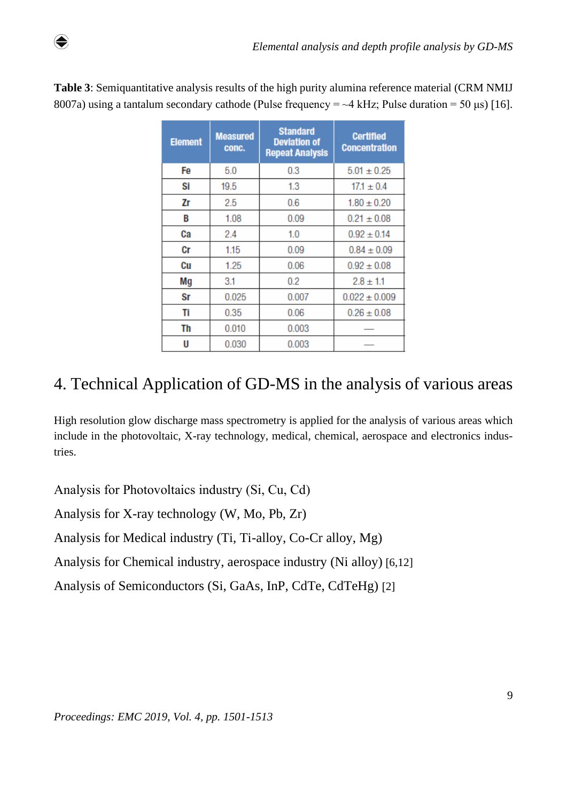| <b>Element</b> | <b>Measured</b><br>conc. | <b>Standard</b><br><b>Deviation of</b><br><b>Repeat Analysis</b> | <b>Certified</b><br><b>Concentration</b> |
|----------------|--------------------------|------------------------------------------------------------------|------------------------------------------|
| Fe             | 5.0                      | 0.3                                                              | $5.01 \pm 0.25$                          |
| Si             | 19.5                     | 1.3                                                              | $17.1 \pm 0.4$                           |
| Zr             | 2.5                      | 0.6                                                              | $1.80 \pm 0.20$                          |
| B              | 1.08                     | 0.09                                                             | $0.21 \pm 0.08$                          |
| Ca             | 2.4                      | 1.0                                                              | $0.92 \pm 0.14$                          |
| Cr             | 1.15                     | 0.09                                                             | $0.84 \pm 0.09$                          |
| Сu             | 1.25                     | 0.06                                                             | $0.92 \pm 0.08$                          |
| Mg             | 3.1                      | 0.2                                                              | $2.8 \pm 1.1$                            |
| Sr             | 0.025                    | 0.007                                                            | $0.022 \pm 0.009$                        |
| Ti             | 0.35                     | 0.06                                                             | $0.26 \pm 0.08$                          |
| Th             | 0.010                    | 0.003                                                            |                                          |
| U              | 0.030                    | 0.003                                                            |                                          |

**Table 3**: Semiquantitative analysis results of the high purity alumina reference material (CRM NMIJ 8007a) using a tantalum secondary cathode (Pulse frequency  $=$   $\sim$  4 kHz; Pulse duration  $=$  50 µs) [16].

# 4. Technical Application of GD-MS in the analysis of various areas

High resolution glow discharge mass spectrometry is applied for the analysis of various areas which include in the photovoltaic, X-ray technology, medical, chemical, aerospace and electronics industries.

Analysis for Photovoltaics industry (Si, Cu, Cd)

♦

Analysis for X-ray technology (W, Mo, Pb, Zr)

Analysis for Medical industry (Ti, Ti-alloy, Co-Cr alloy, Mg)

Analysis for Chemical industry, aerospace industry (Ni alloy) [6,12]

Analysis of Semiconductors (Si, GaAs, InP, CdTe, CdTeHg) [2]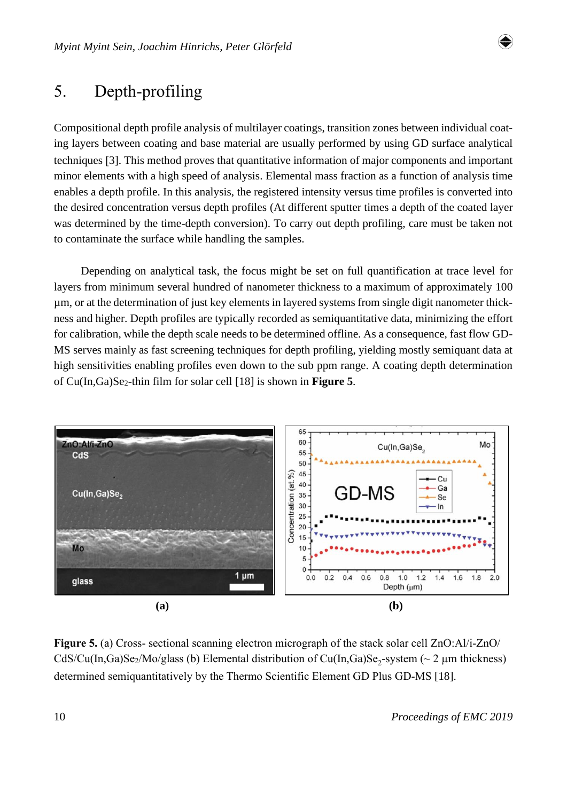

## 5. Depth-profiling

Compositional depth profile analysis of multilayer coatings, transition zones between individual coating layers between coating and base material are usually performed by using GD surface analytical techniques [3]. This method proves that quantitative information of major components and important minor elements with a high speed of analysis. Elemental mass fraction as a function of analysis time enables a depth profile. In this analysis, the registered intensity versus time profiles is converted into the desired concentration versus depth profiles (At different sputter times a depth of the coated layer was determined by the time-depth conversion). To carry out depth profiling, care must be taken not to contaminate the surface while handling the samples.

Depending on analytical task, the focus might be set on full quantification at trace level for layers from minimum several hundred of nanometer thickness to a maximum of approximately 100 µm, or at the determination of just key elements in layered systems from single digit nanometer thickness and higher. Depth profiles are typically recorded as semiquantitative data, minimizing the effort for calibration, while the depth scale needs to be determined offline. As a consequence, fast flow GD-MS serves mainly as fast screening techniques for depth profiling, yielding mostly semiquant data at high sensitivities enabling profiles even down to the sub ppm range. A coating depth determination of Cu(In,Ga)Se2-thin film for solar cell [18] is shown in **Figure 5**.



**Figure 5.** (a) Cross- sectional scanning electron micrograph of the stack solar cell ZnO:Al/i-ZnO/ CdS/Cu(In,Ga)Se<sub>2</sub>/Mo/glass (b) Elemental distribution of Cu(In,Ga)Se<sub>2</sub>-system (~ 2  $\mu$ m thickness) determined semiquantitatively by the Thermo Scientific Element GD Plus GD-MS [18].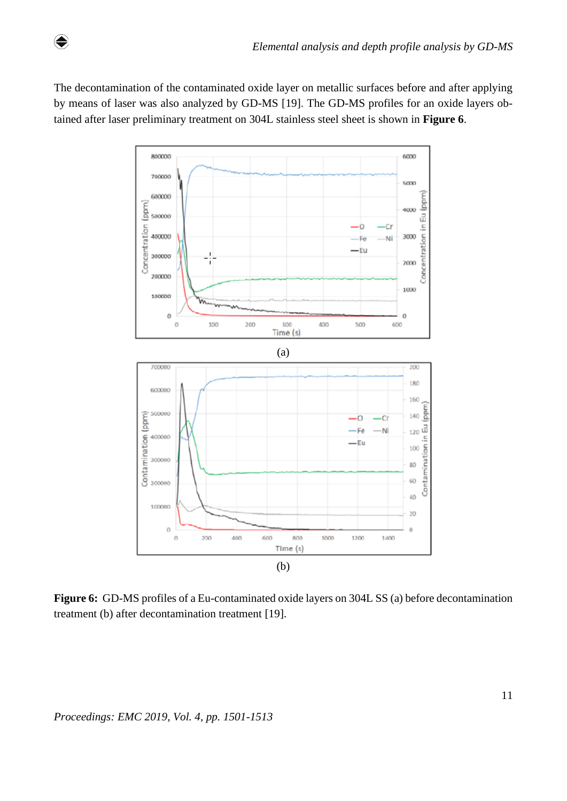The decontamination of the contaminated oxide layer on metallic surfaces before and after applying by means of laser was also analyzed by GD-MS [19]. The GD-MS profiles for an oxide layers obtained after laser preliminary treatment on 304L stainless steel sheet is shown in **Figure 6**.

 $\bigcirc$ 



**Figure 6:** GD-MS profiles of a Eu-contaminated oxide layers on 304L SS (a) before decontamination treatment (b) after decontamination treatment [19].

*Proceedings: EMC 2019, Vol. 4, pp. 1501-1513*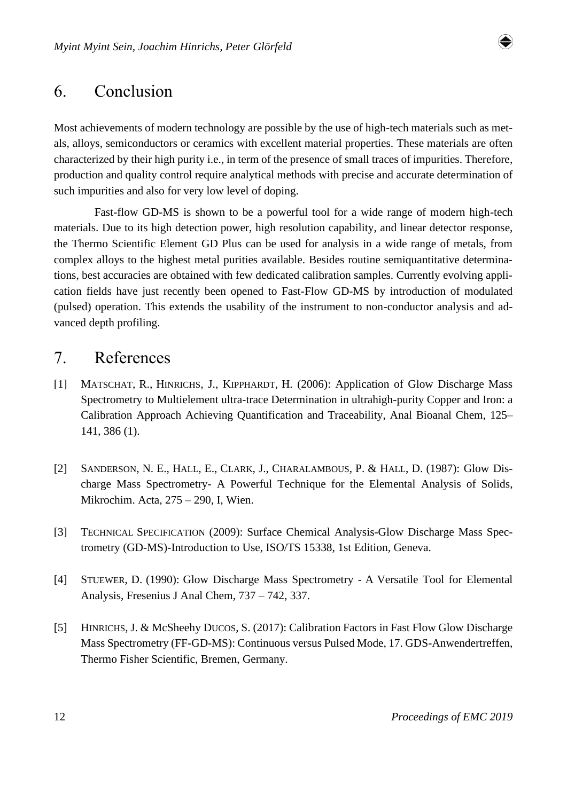

## 6. Conclusion

Most achievements of modern technology are possible by the use of high-tech materials such as metals, alloys, semiconductors or ceramics with excellent material properties. These materials are often characterized by their high purity i.e., in term of the presence of small traces of impurities. Therefore, production and quality control require analytical methods with precise and accurate determination of such impurities and also for very low level of doping.

Fast-flow GD-MS is shown to be a powerful tool for a wide range of modern high-tech materials. Due to its high detection power, high resolution capability, and linear detector response, the Thermo Scientific Element GD Plus can be used for analysis in a wide range of metals, from complex alloys to the highest metal purities available. Besides routine semiquantitative determinations, best accuracies are obtained with few dedicated calibration samples. Currently evolving application fields have just recently been opened to Fast-Flow GD-MS by introduction of modulated (pulsed) operation. This extends the usability of the instrument to non-conductor analysis and advanced depth profiling.

## 7. References

- [1] MATSCHAT, R., HINRICHS, J., KIPPHARDT, H. (2006): Application of Glow Discharge Mass Spectrometry to Multielement ultra-trace Determination in ultrahigh-purity Copper and Iron: a Calibration Approach Achieving Quantification and Traceability, Anal Bioanal Chem, 125– 141, 386 (1).
- [2] SANDERSON, N. E., HALL, E., CLARK, J., CHARALAMBOUS, P. & HALL, D. (1987): Glow Discharge Mass Spectrometry- A Powerful Technique for the Elemental Analysis of Solids, Mikrochim. Acta, 275 – 290, I, Wien.
- [3] TECHNICAL SPECIFICATION (2009): Surface Chemical Analysis-Glow Discharge Mass Spectrometry (GD-MS)-Introduction to Use, ISO/TS 15338, 1st Edition, Geneva.
- [4] STUEWER, D. (1990): Glow Discharge Mass Spectrometry A Versatile Tool for Elemental Analysis, Fresenius J Anal Chem, 737 – 742, 337.
- [5] HINRICHS, J. & McSheehy DUCOS, S. (2017): Calibration Factors in Fast Flow Glow Discharge Mass Spectrometry (FF-GD-MS): Continuous versus Pulsed Mode, 17. GDS-Anwendertreffen, Thermo Fisher Scientific, Bremen, Germany.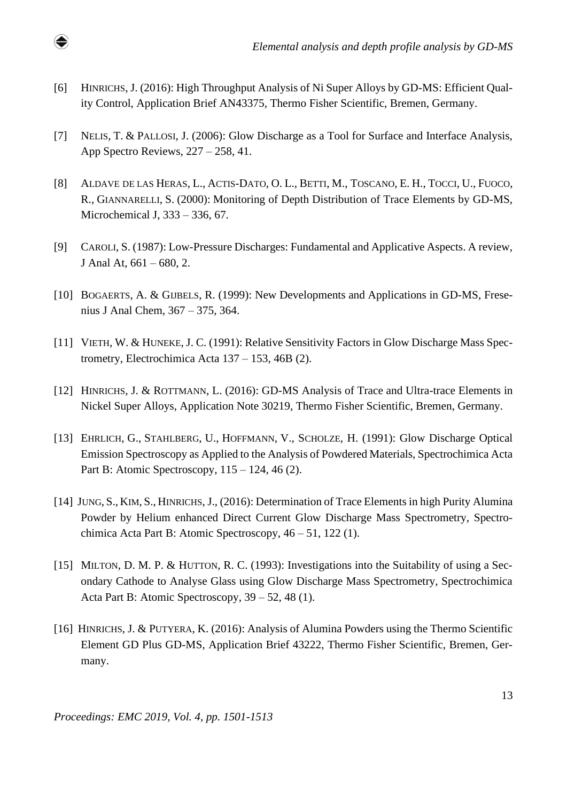[6] HINRICHS, J. (2016): High Throughput Analysis of Ni Super Alloys by GD-MS: Efficient Quality Control, Application Brief AN43375, Thermo Fisher Scientific, Bremen, Germany.

♦

- [7] NELIS, T. & PALLOSI, J. (2006): Glow Discharge as a Tool for Surface and Interface Analysis, App Spectro Reviews, 227 – 258, 41.
- [8] ALDAVE DE LAS HERAS, L., ACTIS-DATO, O. L., BETTI, M., TOSCANO, E. H., TOCCI, U., FUOCO, R., GIANNARELLI, S. (2000): Monitoring of Depth Distribution of Trace Elements by GD-MS, Microchemical J, 333 – 336, 67.
- [9] CAROLI, S. (1987): Low-Pressure Discharges: Fundamental and Applicative Aspects. A review, J Anal At,  $661 - 680$ , 2.
- [10] BOGAERTS, A. & GIJBELS, R. (1999): New Developments and Applications in GD-MS, Fresenius J Anal Chem, 367 – 375, 364.
- [11] VIETH, W. & HUNEKE, J. C. (1991): Relative Sensitivity Factors in Glow Discharge Mass Spectrometry, Electrochimica Acta 137 – 153, 46B (2).
- [12] HINRICHS, J. & ROTTMANN, L. (2016): GD-MS Analysis of Trace and Ultra-trace Elements in Nickel Super Alloys, Application Note 30219, Thermo Fisher Scientific, Bremen, Germany.
- [13] EHRLICH, G., STAHLBERG, U., HOFFMANN, V., SCHOLZE, H. (1991): Glow Discharge Optical Emission Spectroscopy as Applied to the Analysis of Powdered Materials, Spectrochimica Acta Part B: Atomic Spectroscopy, 115 – 124, 46 (2).
- [14] JUNG, S., KIM, S., HINRICHS, J., (2016): Determination of Trace Elements in high Purity Alumina Powder by Helium enhanced Direct Current Glow Discharge Mass Spectrometry, Spectrochimica Acta Part B: Atomic Spectroscopy, 46 – 51, 122 (1).
- [15] MILTON, D. M. P. & HUTTON, R. C. (1993): Investigations into the Suitability of using a Secondary Cathode to Analyse Glass using Glow Discharge Mass Spectrometry, Spectrochimica Acta Part B: Atomic Spectroscopy, 39 – 52, 48 (1).
- [16] HINRICHS, J. & PUTYERA, K. (2016): Analysis of Alumina Powders using the Thermo Scientific Element GD Plus GD-MS, Application Brief 43222, Thermo Fisher Scientific, Bremen, Germany.